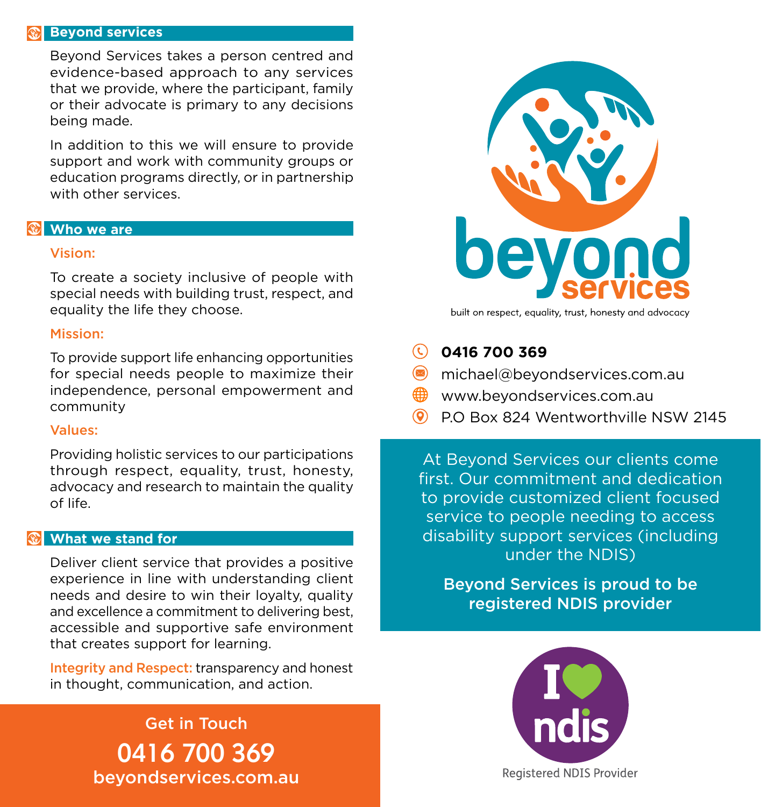#### **Beyond services**

Beyond Services takes a person centred and evidence-based approach to any services that we provide, where the participant, family or their advocate is primary to any decisions being made.

In addition to this we will ensure to provide support and work with community groups or education programs directly, or in partnership with other services.

### **Who we are**

#### Vision:

To create a society inclusive of people with special needs with building trust, respect, and equality the life they choose.

#### Mission:

To provide support life enhancing opportunities for special needs people to maximize their independence, personal empowerment and community

#### Values:

Providing holistic services to our participations through respect, equality, trust, honesty, advocacy and research to maintain the quality of life.

#### **What we stand for**

Deliver client service that provides a positive experience in line with understanding client needs and desire to win their loyalty, quality and excellence a commitment to delivering best, accessible and supportive safe environment that creates support for learning.

Integrity and Respect: transparency and honest in thought, communication, and action.

> Get in Touch 0416 700 369 beyondservices.com.au



built on respect, equality, trust, honesty and advocacy

### **0416 700 369**

- michael@beyondservices.com.au
- **W** www.bevondservices.com.au
- **P.** P.O. Box 824 Wentworthville NSW 2145

At Beyond Services our clients come first. Our commitment and dedication to provide customized client focused service to people needing to access disability support services (including under the NDIS)

Beyond Services is proud to be registered NDIS provider